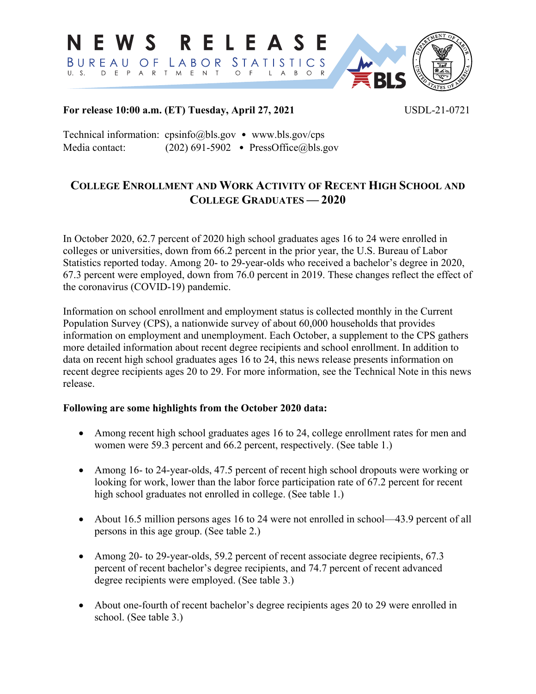

### **For release 10:00 a.m. (ET) Tuesday, April 27, 2021** USDL-21-0721

Technical information: cpsinfo@bls.gov • www.bls.gov/cps Media contact: (202) 691-5902 • PressOffice@bls.gov

# **COLLEGE ENROLLMENT AND WORK ACTIVITY OF RECENT HIGH SCHOOL AND COLLEGE GRADUATES — 2020**

In October 2020, 62.7 percent of 2020 high school graduates ages 16 to 24 were enrolled in colleges or universities, down from 66.2 percent in the prior year, the U.S. Bureau of Labor Statistics reported today. Among 20- to 29-year-olds who received a bachelor's degree in 2020, 67.3 percent were employed, down from 76.0 percent in 2019. These changes reflect the effect of the coronavirus (COVID-19) pandemic.

Information on school enrollment and employment status is collected monthly in the Current Population Survey (CPS), a nationwide survey of about 60,000 households that provides information on employment and unemployment. Each October, a supplement to the CPS gathers more detailed information about recent degree recipients and school enrollment. In addition to data on recent high school graduates ages 16 to 24, this news release presents information on recent degree recipients ages 20 to 29. For more information, see the Technical Note in this news release.

### **Following are some highlights from the October 2020 data:**

- Among recent high school graduates ages 16 to 24, college enrollment rates for men and women were 59.3 percent and 66.2 percent, respectively. (See table 1.)
- Among 16- to 24-year-olds, 47.5 percent of recent high school dropouts were working or looking for work, lower than the labor force participation rate of 67.2 percent for recent high school graduates not enrolled in college. (See table 1.)
- About 16.5 million persons ages 16 to 24 were not enrolled in school—43.9 percent of all persons in this age group. (See table 2.)
- Among 20- to 29-year-olds, 59.2 percent of recent associate degree recipients, 67.3 percent of recent bachelor's degree recipients, and 74.7 percent of recent advanced degree recipients were employed. (See table 3.)
- About one-fourth of recent bachelor's degree recipients ages 20 to 29 were enrolled in school. (See table 3.)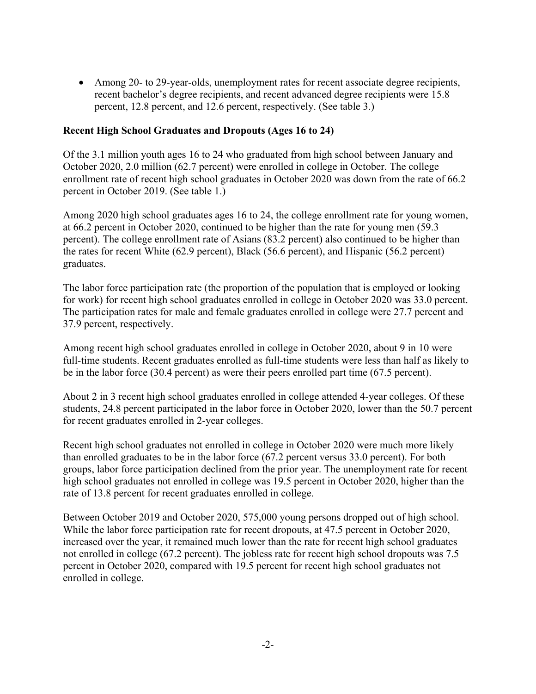• Among 20- to 29-year-olds, unemployment rates for recent associate degree recipients, recent bachelor's degree recipients, and recent advanced degree recipients were 15.8 percent, 12.8 percent, and 12.6 percent, respectively. (See table 3.)

#### **Recent High School Graduates and Dropouts (Ages 16 to 24)**

Of the 3.1 million youth ages 16 to 24 who graduated from high school between January and October 2020, 2.0 million (62.7 percent) were enrolled in college in October. The college enrollment rate of recent high school graduates in October 2020 was down from the rate of 66.2 percent in October 2019. (See table 1.)

Among 2020 high school graduates ages 16 to 24, the college enrollment rate for young women, at 66.2 percent in October 2020, continued to be higher than the rate for young men (59.3 percent). The college enrollment rate of Asians (83.2 percent) also continued to be higher than the rates for recent White (62.9 percent), Black (56.6 percent), and Hispanic (56.2 percent) graduates.

The labor force participation rate (the proportion of the population that is employed or looking for work) for recent high school graduates enrolled in college in October 2020 was 33.0 percent. The participation rates for male and female graduates enrolled in college were 27.7 percent and 37.9 percent, respectively.

Among recent high school graduates enrolled in college in October 2020, about 9 in 10 were full-time students. Recent graduates enrolled as full-time students were less than half as likely to be in the labor force (30.4 percent) as were their peers enrolled part time (67.5 percent).

About 2 in 3 recent high school graduates enrolled in college attended 4-year colleges. Of these students, 24.8 percent participated in the labor force in October 2020, lower than the 50.7 percent for recent graduates enrolled in 2-year colleges.

Recent high school graduates not enrolled in college in October 2020 were much more likely than enrolled graduates to be in the labor force (67.2 percent versus 33.0 percent). For both groups, labor force participation declined from the prior year. The unemployment rate for recent high school graduates not enrolled in college was 19.5 percent in October 2020, higher than the rate of 13.8 percent for recent graduates enrolled in college.

Between October 2019 and October 2020, 575,000 young persons dropped out of high school. While the labor force participation rate for recent dropouts, at 47.5 percent in October 2020, increased over the year, it remained much lower than the rate for recent high school graduates not enrolled in college (67.2 percent). The jobless rate for recent high school dropouts was 7.5 percent in October 2020, compared with 19.5 percent for recent high school graduates not enrolled in college.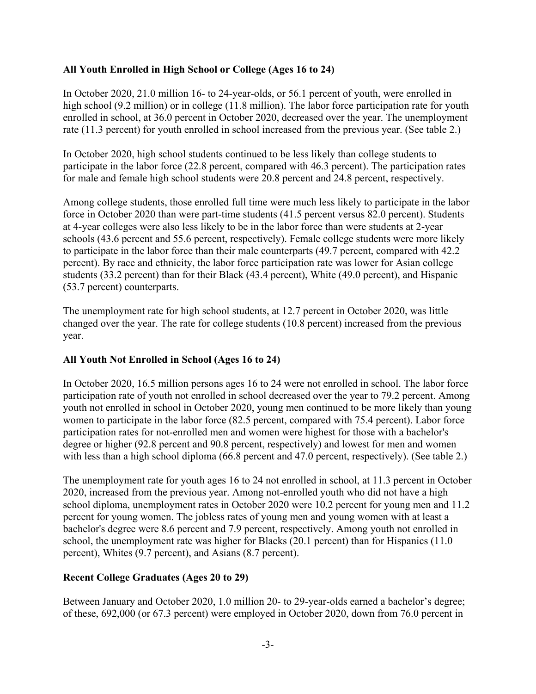## **All Youth Enrolled in High School or College (Ages 16 to 24)**

In October 2020, 21.0 million 16- to 24-year-olds, or 56.1 percent of youth, were enrolled in high school (9.2 million) or in college (11.8 million). The labor force participation rate for youth enrolled in school, at 36.0 percent in October 2020, decreased over the year. The unemployment rate (11.3 percent) for youth enrolled in school increased from the previous year. (See table 2.)

In October 2020, high school students continued to be less likely than college students to participate in the labor force (22.8 percent, compared with 46.3 percent). The participation rates for male and female high school students were 20.8 percent and 24.8 percent, respectively.

Among college students, those enrolled full time were much less likely to participate in the labor force in October 2020 than were part-time students (41.5 percent versus 82.0 percent). Students at 4-year colleges were also less likely to be in the labor force than were students at 2-year schools (43.6 percent and 55.6 percent, respectively). Female college students were more likely to participate in the labor force than their male counterparts (49.7 percent, compared with 42.2 percent). By race and ethnicity, the labor force participation rate was lower for Asian college students (33.2 percent) than for their Black (43.4 percent), White (49.0 percent), and Hispanic (53.7 percent) counterparts.

The unemployment rate for high school students, at 12.7 percent in October 2020, was little changed over the year. The rate for college students (10.8 percent) increased from the previous year.

### **All Youth Not Enrolled in School (Ages 16 to 24)**

In October 2020, 16.5 million persons ages 16 to 24 were not enrolled in school. The labor force participation rate of youth not enrolled in school decreased over the year to 79.2 percent. Among youth not enrolled in school in October 2020, young men continued to be more likely than young women to participate in the labor force (82.5 percent, compared with 75.4 percent). Labor force participation rates for not-enrolled men and women were highest for those with a bachelor's degree or higher (92.8 percent and 90.8 percent, respectively) and lowest for men and women with less than a high school diploma (66.8 percent and 47.0 percent, respectively). (See table 2.)

The unemployment rate for youth ages 16 to 24 not enrolled in school, at 11.3 percent in October 2020, increased from the previous year. Among not-enrolled youth who did not have a high school diploma, unemployment rates in October 2020 were 10.2 percent for young men and 11.2 percent for young women. The jobless rates of young men and young women with at least a bachelor's degree were 8.6 percent and 7.9 percent, respectively. Among youth not enrolled in school, the unemployment rate was higher for Blacks (20.1 percent) than for Hispanics (11.0 percent), Whites (9.7 percent), and Asians (8.7 percent).

### **Recent College Graduates (Ages 20 to 29)**

Between January and October 2020, 1.0 million 20- to 29-year-olds earned a bachelor's degree; of these, 692,000 (or 67.3 percent) were employed in October 2020, down from 76.0 percent in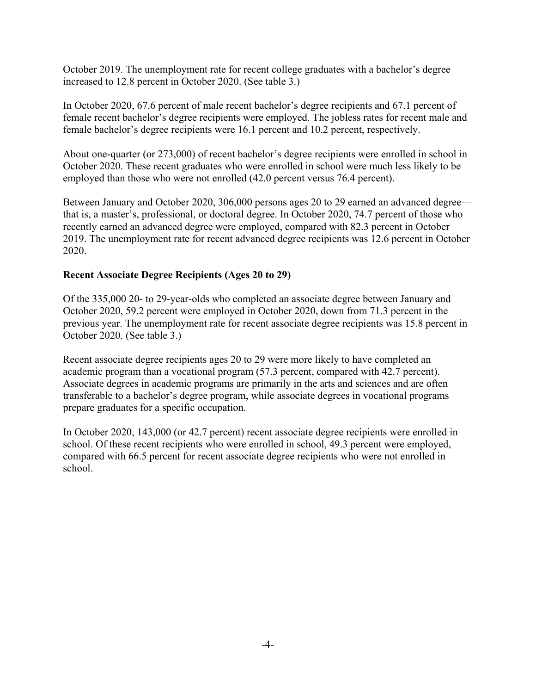October 2019. The unemployment rate for recent college graduates with a bachelor's degree increased to 12.8 percent in October 2020. (See table 3.)

In October 2020, 67.6 percent of male recent bachelor's degree recipients and 67.1 percent of female recent bachelor's degree recipients were employed. The jobless rates for recent male and female bachelor's degree recipients were 16.1 percent and 10.2 percent, respectively.

About one-quarter (or 273,000) of recent bachelor's degree recipients were enrolled in school in October 2020. These recent graduates who were enrolled in school were much less likely to be employed than those who were not enrolled (42.0 percent versus 76.4 percent).

Between January and October 2020, 306,000 persons ages 20 to 29 earned an advanced degree that is, a master's, professional, or doctoral degree. In October 2020, 74.7 percent of those who recently earned an advanced degree were employed, compared with 82.3 percent in October 2019. The unemployment rate for recent advanced degree recipients was 12.6 percent in October 2020.

### **Recent Associate Degree Recipients (Ages 20 to 29)**

Of the 335,000 20- to 29-year-olds who completed an associate degree between January and October 2020, 59.2 percent were employed in October 2020, down from 71.3 percent in the previous year. The unemployment rate for recent associate degree recipients was 15.8 percent in October 2020. (See table 3.)

Recent associate degree recipients ages 20 to 29 were more likely to have completed an academic program than a vocational program (57.3 percent, compared with 42.7 percent). Associate degrees in academic programs are primarily in the arts and sciences and are often transferable to a bachelor's degree program, while associate degrees in vocational programs prepare graduates for a specific occupation.

In October 2020, 143,000 (or 42.7 percent) recent associate degree recipients were enrolled in school. Of these recent recipients who were enrolled in school, 49.3 percent were employed, compared with 66.5 percent for recent associate degree recipients who were not enrolled in school.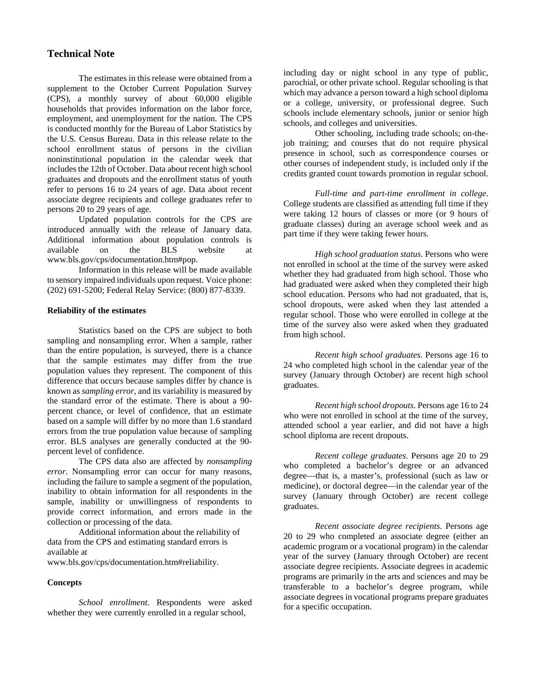#### **Technical Note**

The estimates in this release were obtained from a supplement to the October Current Population Survey (CPS), a monthly survey of about 60,000 eligible households that provides information on the labor force, employment, and unemployment for the nation. The CPS is conducted monthly for the Bureau of Labor Statistics by the U.S. Census Bureau. Data in this release relate to the school enrollment status of persons in the civilian noninstitutional population in the calendar week that includes the 12th of October. Data about recent high school graduates and dropouts and the enrollment status of youth refer to persons 16 to 24 years of age. Data about recent associate degree recipients and college graduates refer to persons 20 to 29 years of age.

Updated population controls for the CPS are introduced annually with the release of January data. Additional information about population controls is available on the BLS website at www.bls.gov/cps/documentation.htm#pop.

Information in this release will be made available to sensory impaired individuals upon request. Voice phone: (202) 691-5200; Federal Relay Service: (800) 877-8339.

#### **Reliability of the estimates**

Statistics based on the CPS are subject to both sampling and nonsampling error. When a sample, rather than the entire population, is surveyed, there is a chance that the sample estimates may differ from the true population values they represent. The component of this difference that occurs because samples differ by chance is known as *sampling error*, and its variability is measured by the standard error of the estimate. There is about a 90 percent chance, or level of confidence, that an estimate based on a sample will differ by no more than 1.6 standard errors from the true population value because of sampling error. BLS analyses are generally conducted at the 90 percent level of confidence.

The CPS data also are affected by *nonsampling error*. Nonsampling error can occur for many reasons, including the failure to sample a segment of the population, inability to obtain information for all respondents in the sample, inability or unwillingness of respondents to provide correct information, and errors made in the collection or processing of the data.

Additional information about the reliability of data from the CPS and estimating standard errors is available at

www.bls.gov/cps/documentation.htm#reliability.

#### **Concepts**

*School enrollment*. Respondents were asked whether they were currently enrolled in a regular school,

including day or night school in any type of public, parochial, or other private school. Regular schooling is that which may advance a person toward a high school diploma or a college, university, or professional degree. Such schools include elementary schools, junior or senior high schools, and colleges and universities.

Other schooling, including trade schools; on-thejob training; and courses that do not require physical presence in school, such as correspondence courses or other courses of independent study, is included only if the credits granted count towards promotion in regular school.

*Full-time and part-time enrollment in college*. College students are classified as attending full time if they were taking 12 hours of classes or more (or 9 hours of graduate classes) during an average school week and as part time if they were taking fewer hours.

*High school graduation status*. Persons who were not enrolled in school at the time of the survey were asked whether they had graduated from high school. Those who had graduated were asked when they completed their high school education. Persons who had not graduated, that is, school dropouts, were asked when they last attended a regular school. Those who were enrolled in college at the time of the survey also were asked when they graduated from high school.

*Recent high school graduates*. Persons age 16 to 24 who completed high school in the calendar year of the survey (January through October) are recent high school graduates.

*Recent high school dropouts*. Persons age 16 to 24 who were not enrolled in school at the time of the survey, attended school a year earlier, and did not have a high school diploma are recent dropouts.

*Recent college graduates*. Persons age 20 to 29 who completed a bachelor's degree or an advanced degree—that is, a master's, professional (such as law or medicine), or doctoral degree—in the calendar year of the survey (January through October) are recent college graduates.

*Recent associate degree recipients*. Persons age 20 to 29 who completed an associate degree (either an academic program or a vocational program) in the calendar year of the survey (January through October) are recent associate degree recipients. Associate degrees in academic programs are primarily in the arts and sciences and may be transferable to a bachelor's degree program, while associate degrees in vocational programs prepare graduates for a specific occupation.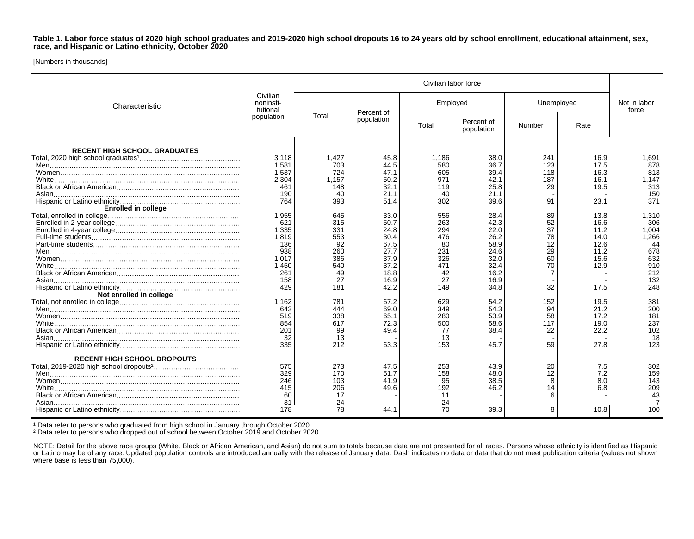**Table 1. Labor force status of 2020 high school graduates and 2019-2020 high school dropouts 16 to 24 years old by school enrollment, educational attainment, sex, race, and Hispanic or Latino ethnicity, October 2020**

[Numbers in thousands]

| Characteristic                      | Civilian<br>noninsti-<br>tutional<br>population | Civilian labor force |                          |          |                          |            |      |                       |
|-------------------------------------|-------------------------------------------------|----------------------|--------------------------|----------|--------------------------|------------|------|-----------------------|
|                                     |                                                 | Total                | Percent of<br>population | Employed |                          | Unemployed |      | Not in labor<br>force |
|                                     |                                                 |                      |                          | Total    | Percent of<br>population | Number     | Rate |                       |
| <b>RECENT HIGH SCHOOL GRADUATES</b> |                                                 |                      |                          |          |                          |            |      |                       |
|                                     | 3,118                                           | 1,427                | 45.8                     | 1,186    | 38.0                     | 241        | 16.9 | 1,691                 |
|                                     | 1,581                                           | 703                  | 44.5                     | 580      | 36.7                     | 123        | 17.5 | 878                   |
|                                     | 1.537                                           | 724                  | 47.1                     | 605      | 39.4                     | 118        | 16.3 | 813                   |
|                                     | 2.304                                           | 1.157                | 50.2                     | 971      | 42.1                     | 187        | 16.1 | 1.147                 |
|                                     | 461                                             | 148                  | 32.1                     | 119      | 25.8                     | 29         | 19.5 | 313                   |
|                                     |                                                 |                      |                          |          |                          |            |      |                       |
|                                     | 190                                             | 40                   | 21.1                     | 40       | 21.1                     |            |      | 150                   |
|                                     | 764                                             | 393                  | 51.4                     | 302      | 39.6                     | 91         | 23.1 | 371                   |
| <b>Enrolled in college</b>          |                                                 |                      |                          |          |                          |            |      |                       |
|                                     | 1.955                                           | 645                  | 33.0                     | 556      | 28.4                     | 89         | 13.8 | 1.310                 |
|                                     | 621                                             | 315                  | 50.7                     | 263      | 42.3                     | 52         | 16.6 | 306                   |
|                                     | 1,335                                           | 331                  | 24.8                     | 294      | 22.0                     | 37         | 11.2 | 1,004                 |
|                                     | 1.819                                           | 553                  | 30.4                     | 476      | 26.2                     | 78         | 14.0 | 1,266                 |
|                                     | 136                                             | 92                   | 67.5                     | 80       | 58.9                     | 12         | 12.6 | 44                    |
|                                     | 938                                             | 260                  | 27.7                     | 231      | 24.6                     | 29         | 11.2 | 678                   |
|                                     | 1.017                                           | 386                  | 37.9                     | 326      | 32.0                     | 60         | 15.6 | 632                   |
|                                     | 1.450                                           | 540                  | 37.2                     | 471      | 32.4                     | 70         | 12.9 | 910                   |
|                                     | 261                                             | 49                   | 18.8                     | 42       | 16.2                     |            |      | 212                   |
|                                     |                                                 | 27                   |                          | 27       |                          |            |      | 132                   |
|                                     | 158                                             |                      | 16.9                     |          | 16.9                     |            |      |                       |
|                                     | 429                                             | 181                  | 42.2                     | 149      | 34.8                     | 32         | 17.5 | 248                   |
| Not enrolled in college             |                                                 |                      |                          |          |                          |            |      |                       |
|                                     | 1.162                                           | 781                  | 67.2                     | 629      | 54.2                     | 152        | 19.5 | 381                   |
|                                     | 643                                             | 444                  | 69.0                     | 349      | 54.3                     | 94         | 21.2 | 200                   |
|                                     | 519                                             | 338                  | 65.1                     | 280      | 53.9                     | 58         | 17.2 | 181                   |
|                                     | 854                                             | 617                  | 72.3                     | 500      | 58.6                     | 117        | 19.0 | 237                   |
|                                     | 201                                             | 99                   | 49.4                     | 77       | 38.4                     | 22         | 22.2 | 102                   |
|                                     | 32                                              | 13                   |                          | 13       |                          |            |      | 18                    |
|                                     | 335                                             | 212                  | 63.3                     | 153      | 45.7                     | 59         | 27.8 | 123                   |
|                                     |                                                 |                      |                          |          |                          |            |      |                       |
| <b>RECENT HIGH SCHOOL DROPOUTS</b>  |                                                 |                      |                          |          |                          |            |      |                       |
|                                     | 575                                             | 273                  | 47.5                     | 253      | 43.9                     | 20         | 7.5  | 302                   |
|                                     | 329                                             | 170                  | 51.7                     | 158      | 48.0                     | 12         | 7.2  | 159                   |
|                                     | 246                                             | 103                  | 41.9                     | 95       | 38.5                     | 8          | 8.0  | 143                   |
|                                     | 415                                             | 206                  | 49.6                     | 192      | 46.2                     | 14         | 6.8  | 209                   |
|                                     |                                                 |                      |                          |          |                          |            |      |                       |
|                                     | 60                                              | 17                   |                          | 11       |                          |            |      | 43                    |
|                                     | 31                                              | 24                   |                          | 24       |                          |            |      |                       |
|                                     | 178                                             | 78                   | 44.1                     | 70       | 39.3                     |            | 10.8 | 100                   |

<sup>1</sup> Data refer to persons who graduated from high school in January through October 2020.

² Data refer to persons who dropped out of school between October 2019 and October 2020.

NOTE: Detail for the above race groups (White, Black or African American, and Asian) do not sum to totals because data are not presented for all races. Persons whose ethnicity is identified as Hispanic or Latino may be of any race. Updated population controls are introduced annually with the release of January data. Dash indicates no data or data that do not meet publication criteria (values not shown where base is less than 75,000).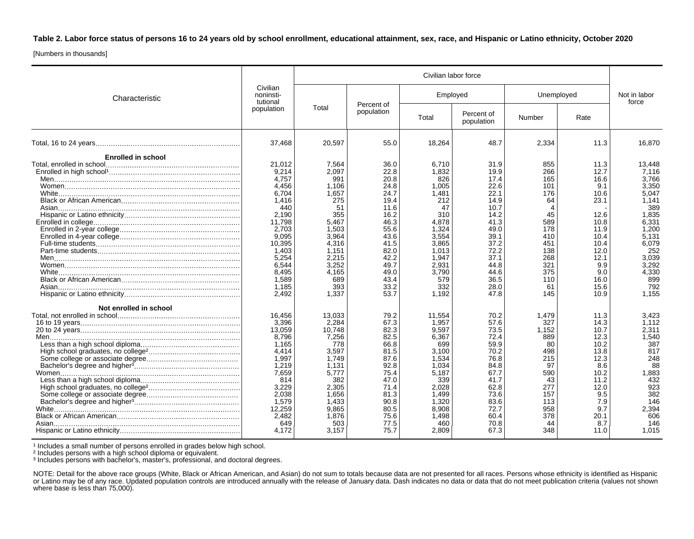**Table 2. Labor force status of persons 16 to 24 years old by school enrollment, educational attainment, sex, race, and Hispanic or Latino ethnicity, October 2020**

[Numbers in thousands]

| Characteristic            |                                                                                                                                                                          | Civilian labor force                                                                                                                                       |                                                                                                                                                      |                                                                                                                                                            |                                                                                                                                                      |                                                                                                                         |                                                                                                                                           |                                                                                                                                                                  |
|---------------------------|--------------------------------------------------------------------------------------------------------------------------------------------------------------------------|------------------------------------------------------------------------------------------------------------------------------------------------------------|------------------------------------------------------------------------------------------------------------------------------------------------------|------------------------------------------------------------------------------------------------------------------------------------------------------------|------------------------------------------------------------------------------------------------------------------------------------------------------|-------------------------------------------------------------------------------------------------------------------------|-------------------------------------------------------------------------------------------------------------------------------------------|------------------------------------------------------------------------------------------------------------------------------------------------------------------|
|                           | Civilian<br>noninsti-<br>tutional<br>population                                                                                                                          | Total                                                                                                                                                      | Percent of<br>population                                                                                                                             | Employed                                                                                                                                                   |                                                                                                                                                      | Unemployed                                                                                                              |                                                                                                                                           | Not in labor<br>force                                                                                                                                            |
|                           |                                                                                                                                                                          |                                                                                                                                                            |                                                                                                                                                      | Total                                                                                                                                                      | Percent of<br>population                                                                                                                             | Number                                                                                                                  | Rate                                                                                                                                      |                                                                                                                                                                  |
|                           | 37.468                                                                                                                                                                   | 20.597                                                                                                                                                     | 55.0                                                                                                                                                 | 18,264                                                                                                                                                     | 48.7                                                                                                                                                 | 2.334                                                                                                                   | 11.3                                                                                                                                      | 16,870                                                                                                                                                           |
| <b>Enrolled in school</b> |                                                                                                                                                                          |                                                                                                                                                            |                                                                                                                                                      |                                                                                                                                                            |                                                                                                                                                      |                                                                                                                         |                                                                                                                                           |                                                                                                                                                                  |
|                           | 21.012<br>9.214<br>4.757<br>4.456<br>6.704<br>1,416<br>440<br>2,190<br>11.798<br>2.703<br>9,095<br>10.395<br>1.403<br>5.254<br>6,544<br>8,495<br>1,589<br>1.185<br>2,492 | 7,564<br>2.097<br>991<br>1,106<br>1,657<br>275<br>51<br>355<br>5,467<br>1,503<br>3,964<br>4.316<br>1,151<br>2.215<br>3,252<br>4,165<br>689<br>393<br>1,337 | 36.0<br>22.8<br>20.8<br>24.8<br>24.7<br>19.4<br>11.6<br>16.2<br>46.3<br>55.6<br>43.6<br>41.5<br>82.0<br>42.2<br>49.7<br>49.0<br>43.4<br>33.2<br>53.7 | 6,710<br>1.832<br>826<br>1,005<br>1.481<br>212<br>47<br>310<br>4,878<br>1,324<br>3,554<br>3.865<br>1.013<br>1.947<br>2,931<br>3,790<br>579<br>332<br>1,192 | 31.9<br>19.9<br>17.4<br>22.6<br>22.1<br>14.9<br>10.7<br>14.2<br>41.3<br>49.0<br>39.1<br>37.2<br>72.2<br>37.1<br>44.8<br>44.6<br>36.5<br>28.0<br>47.8 | 855<br>266<br>165<br>101<br>176<br>64<br>45<br>589<br>178<br>410<br>451<br>138<br>268<br>321<br>375<br>110<br>61<br>145 | 11.3<br>12.7<br>16.6<br>9.1<br>10.6<br>23.1<br>12.6<br>10.8<br>11.9<br>10.4<br>10.4<br>12.0<br>12.1<br>9.9<br>9.0<br>16.0<br>15.6<br>10.9 | 13,448<br>7.116<br>3,766<br>3,350<br>5,047<br>1,141<br>389<br>1,835<br>6,331<br>1,200<br>5,131<br>6,079<br>252<br>3,039<br>3,292<br>4,330<br>899<br>792<br>1.155 |
| Not enrolled in school    | 16,456<br>3.396<br>13,059<br>8,796<br>1,165<br>4.414<br>1.997<br>1.219<br>7,659<br>814<br>3,229<br>2.038<br>1.579<br>12,259<br>2.482<br>649<br>4.172                     | 13,033<br>2.284<br>10.748<br>7,256<br>778<br>3,597<br>1.749<br>1,131<br>5.777<br>382<br>2,305<br>1.656<br>1,433<br>9.865<br>1,876<br>503<br>3,157          | 79.2<br>67.3<br>82.3<br>82.5<br>66.8<br>81.5<br>87.6<br>92.8<br>75.4<br>47.0<br>71.4<br>81.3<br>90.8<br>80.5<br>75.6<br>77.5<br>75.7                 | 11,554<br>1.957<br>9,597<br>6,367<br>699<br>3,100<br>1.534<br>1.034<br>5.187<br>339<br>2,028<br>1.499<br>1,320<br>8,908<br>1.498<br>460<br>2,809           | 70.2<br>57.6<br>73.5<br>72.4<br>59.9<br>70.2<br>76.8<br>84.8<br>67.7<br>41.7<br>62.8<br>73.6<br>83.6<br>72.7<br>60.4<br>70.8<br>67.3                 | 1,479<br>327<br>1,152<br>889<br>80<br>498<br>215<br>97<br>590<br>43<br>277<br>157<br>113<br>958<br>378<br>44<br>348     | 11.3<br>14.3<br>10.7<br>12.3<br>10.2<br>13.8<br>12.3<br>8.6<br>10.2<br>11.2<br>12.0<br>9.5<br>7.9<br>9.7<br>20.1<br>8.7<br>11.0           | 3,423<br>1.112<br>2,311<br>1,540<br>387<br>817<br>248<br>88<br>1,883<br>432<br>923<br>382<br>146<br>2,394<br>606<br>146<br>1,015                                 |

<sup>1</sup> Includes a small number of persons enrolled in grades below high school.

² Includes persons with a high school diploma or equivalent.

³ Includes persons with bachelor's, master's, professional, and doctoral degrees.

NOTE: Detail for the above race groups (White, Black or African American, and Asian) do not sum to totals because data are not presented for all races. Persons whose ethnicity is identified as Hispanic or Latino may be of any race. Updated population controls are introduced annually with the release of January data. Dash indicates no data or data that do not meet publication criteria (values not shown where base is less than 75,000).